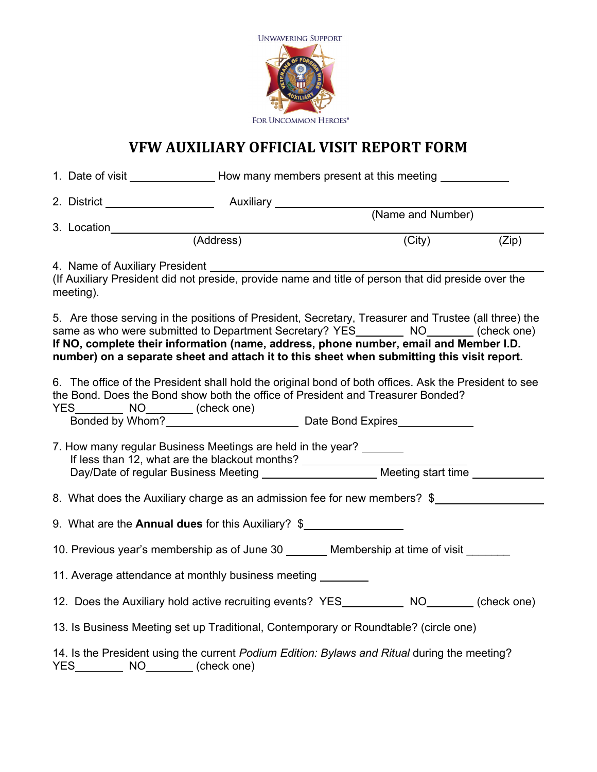

# **VFW AUXILIARY OFFICIAL VISIT REPORT FORM**

|                                                                                                                                                                                                                | 1. Date of visit _____________________How many members present at this meeting _________                                                                                                                                                                                                                                                                                               |           |                   |        |       |  |  |
|----------------------------------------------------------------------------------------------------------------------------------------------------------------------------------------------------------------|----------------------------------------------------------------------------------------------------------------------------------------------------------------------------------------------------------------------------------------------------------------------------------------------------------------------------------------------------------------------------------------|-----------|-------------------|--------|-------|--|--|
|                                                                                                                                                                                                                |                                                                                                                                                                                                                                                                                                                                                                                        |           |                   |        |       |  |  |
|                                                                                                                                                                                                                | 3. Location                                                                                                                                                                                                                                                                                                                                                                            |           | (Name and Number) |        |       |  |  |
|                                                                                                                                                                                                                |                                                                                                                                                                                                                                                                                                                                                                                        | (Address) |                   | (City) | (Zip) |  |  |
|                                                                                                                                                                                                                | 4. Name of Auxiliary President [1989] Manuscript Australian Manuscript Australian Manuscript Australian Manuscript Australian Manuscript Australian Manuscript Australian Manuscript Australian Manuscript Australian Manuscri<br>(If Auxiliary President did not preside, provide name and title of person that did preside over the<br>meeting).                                     |           |                   |        |       |  |  |
|                                                                                                                                                                                                                | 5. Are those serving in the positions of President, Secretary, Treasurer and Trustee (all three) the<br>same as who were submitted to Department Secretary? YES_________ NO________ (check one)<br>If NO, complete their information (name, address, phone number, email and Member I.D.<br>number) on a separate sheet and attach it to this sheet when submitting this visit report. |           |                   |        |       |  |  |
| 6. The office of the President shall hold the original bond of both offices. Ask the President to see<br>the Bond. Does the Bond show both the office of President and Treasurer Bonded?<br>YES NO (check one) |                                                                                                                                                                                                                                                                                                                                                                                        |           |                   |        |       |  |  |
| 7. How many regular Business Meetings are held in the year?                                                                                                                                                    |                                                                                                                                                                                                                                                                                                                                                                                        |           |                   |        |       |  |  |
| 8. What does the Auxiliary charge as an admission fee for new members? \$                                                                                                                                      |                                                                                                                                                                                                                                                                                                                                                                                        |           |                   |        |       |  |  |
|                                                                                                                                                                                                                | 9. What are the Annual dues for this Auxiliary? \$                                                                                                                                                                                                                                                                                                                                     |           |                   |        |       |  |  |
|                                                                                                                                                                                                                | 10. Previous year's membership as of June 30 _______ Membership at time of visit                                                                                                                                                                                                                                                                                                       |           |                   |        |       |  |  |
|                                                                                                                                                                                                                | 11. Average attendance at monthly business meeting                                                                                                                                                                                                                                                                                                                                     |           |                   |        |       |  |  |
|                                                                                                                                                                                                                | 12. Does the Auxiliary hold active recruiting events? YES __________ NO_______ (check one)                                                                                                                                                                                                                                                                                             |           |                   |        |       |  |  |
|                                                                                                                                                                                                                | 13. Is Business Meeting set up Traditional, Contemporary or Roundtable? (circle one)                                                                                                                                                                                                                                                                                                   |           |                   |        |       |  |  |
|                                                                                                                                                                                                                | 14. Is the President using the current Podium Edition: Bylaws and Ritual during the meeting?<br>YES NO (check one)                                                                                                                                                                                                                                                                     |           |                   |        |       |  |  |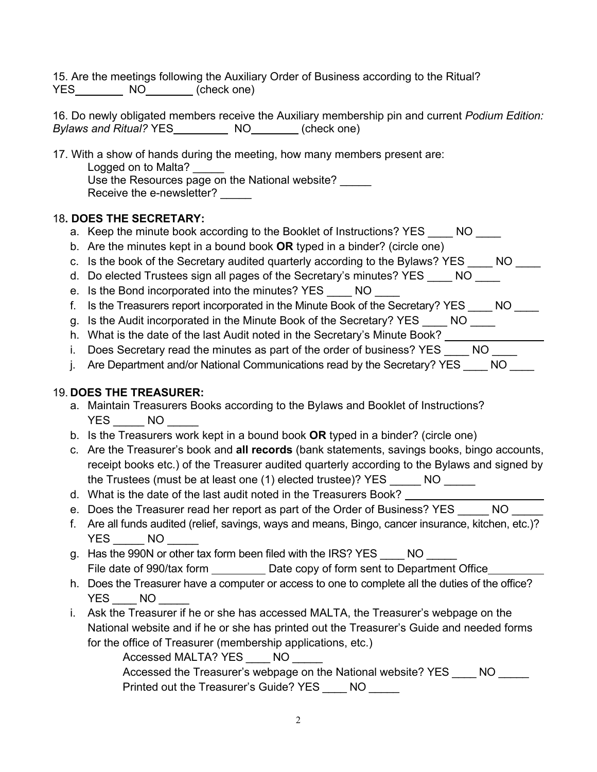15. Are the meetings following the Auxiliary Order of Business according to the Ritual? YES NO (check one)

16. Do newly obligated members receive the Auxiliary membership pin and current *Podium Edition: Bylaws and Ritual?* YES NO (check one)

17. With a show of hands during the meeting, how many members present are:

Logged on to Malta? Use the Resources page on the National website? Receive the e-newsletter?

## 18**. DOES THE SECRETARY:**

- a. Keep the minute book according to the Booklet of Instructions? YES MO
- b. Are the minutes kept in a bound book **OR** typed in a binder? (circle one)
- c. Is the book of the Secretary audited quarterly according to the Bylaws? YES \_\_\_\_ NO \_\_\_\_
- d. Do elected Trustees sign all pages of the Secretary's minutes? YES \_\_\_\_ NO \_\_\_\_
- e. Is the Bond incorporated into the minutes? YES \_\_\_\_ NO \_\_\_\_
- f. Is the Treasurers report incorporated in the Minute Book of the Secretary? YES NO
- g. Is the Audit incorporated in the Minute Book of the Secretary? YES \_\_\_\_ NO \_\_\_\_
- h. What is the date of the last Audit noted in the Secretary's Minute Book? \_\_\_\_\_\_\_\_\_
- i. Does Secretary read the minutes as part of the order of business? YES \_\_\_\_ NO \_\_\_\_
- j. Are Department and/or National Communications read by the Secretary? YES NO

# 19. **DOES THE TREASURER:**

- a. Maintain Treasurers Books according to the Bylaws and Booklet of Instructions? YES NO
- b. Is the Treasurers work kept in a bound book **OR** typed in a binder? (circle one)
- c. Are the Treasurer's book and **all records** (bank statements, savings books, bingo accounts, receipt books etc.) of the Treasurer audited quarterly according to the Bylaws and signed by the Trustees (must be at least one (1) elected trustee)? YES \_\_\_\_\_ NO \_\_\_\_\_
- d. What is the date of the last audit noted in the Treasurers Book?
- e. Does the Treasurer read her report as part of the Order of Business? YES MO
- f. Are all funds audited (relief, savings, ways and means, Bingo, cancer insurance, kitchen, etc.)? YES NO
- g. Has the 990N or other tax form been filed with the IRS? YES NO File date of 990/tax form Date copy of form sent to Department Office
- h. Does the Treasurer have a computer or access to one to complete all the duties of the office? YES NO
- i. Ask the Treasurer if he or she has accessed MALTA, the Treasurer's webpage on the National website and if he or she has printed out the Treasurer's Guide and needed forms for the office of Treasurer (membership applications, etc.)

Accessed MALTA? YES \_\_\_\_ NO Accessed the Treasurer's webpage on the National website? YES NO Printed out the Treasurer's Guide? YES \_\_\_\_ NO \_\_\_\_\_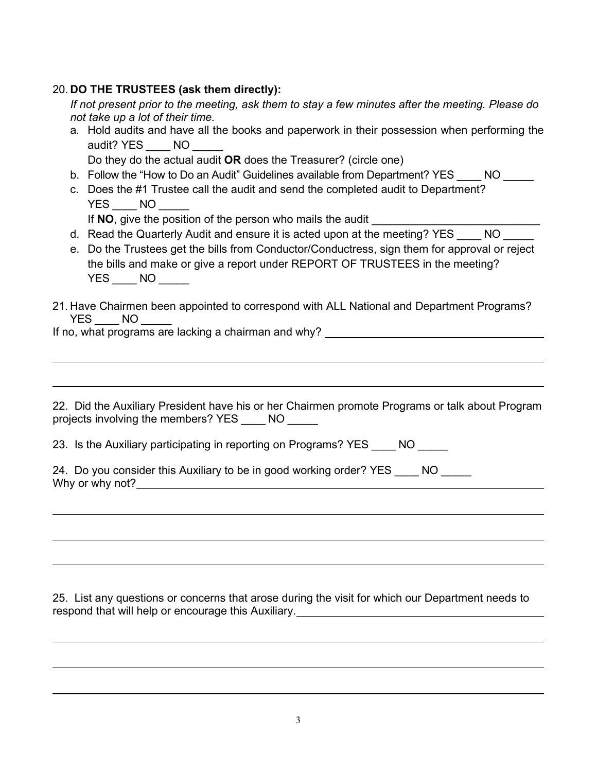### 20. **DO THE TRUSTEES (ask them directly):**

*If not present prior to the meeting, ask them to stay a few minutes after the meeting. Please do not take up a lot of their time.*

a. Hold audits and have all the books and paperwork in their possession when performing the audit? YES \_\_\_ NO

Do they do the actual audit **OR** does the Treasurer? (circle one)

- b. Follow the "How to Do an Audit" Guidelines available from Department? YES NO
- c. Does the #1 Trustee call the audit and send the completed audit to Department? YES NO

If **NO**, give the position of the person who mails the audit

- d. Read the Quarterly Audit and ensure it is acted upon at the meeting? YES NO
- e. Do the Trustees get the bills from Conductor/Conductress, sign them for approval or reject the bills and make or give a report under REPORT OF TRUSTEES in the meeting? YES NO
- 21. Have Chairmen been appointed to correspond with ALL National and Department Programs? YES NO

If no, what programs are lacking a chairman and why? \_\_\_\_\_\_\_\_\_\_\_\_\_\_\_\_\_\_\_\_\_\_\_\_\_\_\_\_

22. Did the Auxiliary President have his or her Chairmen promote Programs or talk about Program projects involving the members? YES \_\_\_\_ NO

23. Is the Auxiliary participating in reporting on Programs? YES NO

| 24. Do you consider this Auxiliary to be in good working order? YES |  |
|---------------------------------------------------------------------|--|
| Why or why not?                                                     |  |

25. List any questions or concerns that arose during the visit for which our Department needs to respond that will help or encourage this Auxiliary.